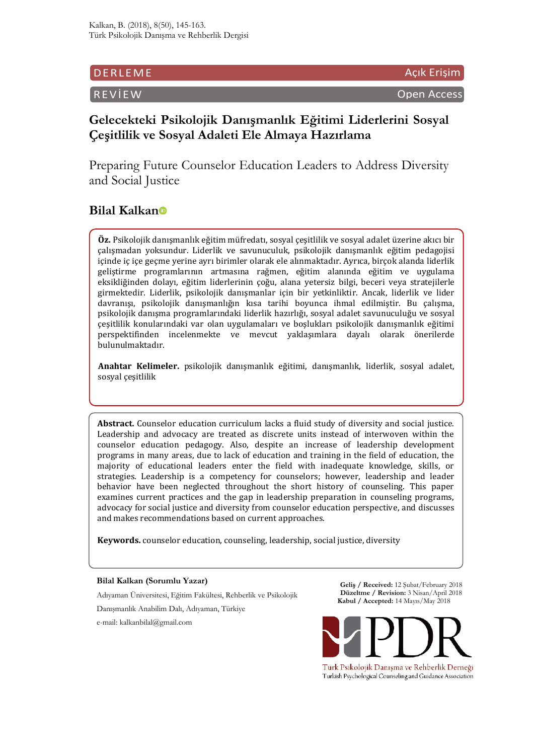## DERLEME Açık Erişim Açık Erişim Açık Erişim Açık Erişim Açık Erişim Açık Erişim A

REVİEW Open Access

# **Gelecekteki Psikolojik Danışmanlık Eğitimi Liderlerini Sosyal Çeşitlilik ve Sosyal Adaleti Ele Almaya Hazırlama**

Preparing Future Counselor Education Leaders to Address Diversity and Social Justice

# **Bilal Kalkan**

**Öz.** Psikolojik danışmanlık eğitim müfredatı, sosyal çeşitlilik ve sosyal adalet üzerine akıcı bir çalışmadan yoksundur. Liderlik ve savunuculuk, psikolojik danışmanlık eğitim pedagojisi içinde iç içe geçme yerine ayrı birimler olarak ele alınmaktadır. Ayrıca, birçok alanda liderlik geliştirme programlarının artmasına rağmen, eğitim alanında eğitim ve uygulama eksikliğinden dolayı, eğitim liderlerinin çoğu, alana yetersiz bilgi, beceri veya stratejilerle girmektedir. Liderlik, psikolojik danışmanlar için bir yetkinliktir. Ancak, liderlik ve lider davranışı, psikolojik danışmanlığın kısa tarihi boyunca ihmal edilmiştir. Bu çalışma, psikolojik danışma programlarındaki liderlik hazırlığı, sosyal adalet savunuculuğu ve sosyal çeşitlilik konularındaki var olan uygulamaları ve boşlukları psikolojik danışmanlık eğitimi perspektifinden incelenmekte ve mevcut yaklaşımlara dayalı olarak önerilerde bulunulmaktadır.

**Anahtar Kelimeler.** psikolojik danışmanlık eğitimi, danışmanlık, liderlik, sosyal adalet, sosyal çeşitlilik

**Abstract.** Counselor education curriculum lacks a fluid study of diversity and social justice. Leadership and advocacy are treated as discrete units instead of interwoven within the counselor education pedagogy. Also, despite an increase of leadership development programs in many areas, due to lack of education and training in the field of education, the majority of educational leaders enter the field with inadequate knowledge, skills, or strategies. Leadership is a competency for counselors; however, leadership and leader behavior have been neglected throughout the short history of counseling. This paper examines current practices and the gap in leadership preparation in counseling programs, advocacy for social justice and diversity from counselor education perspective, and discusses and makes recommendations based on current approaches.

**Keywords.** counselor education, counseling, leadership, social justice, diversity

#### **Bilal Kalkan (Sorumlu Yazar)**

Adıyaman Üniversitesi, Eğitim Fakültesi, Rehberlik ve Psikolojik

Danışmanlık Anabilim Dalı, Adıyaman, Türkiye

e-mail: kalkanbilal@gmail.com

**Geliş / Received:** 12 Şubat/February 2018 **Düzeltme / Revision:** 3 Nisan/April 2018 **Kabul / Accepted:** 14 Mayıs/May 2018



Türk Psikolojik Danışma ve Rehberlik Derneği Turkish Psychological Counseling and Guidance Association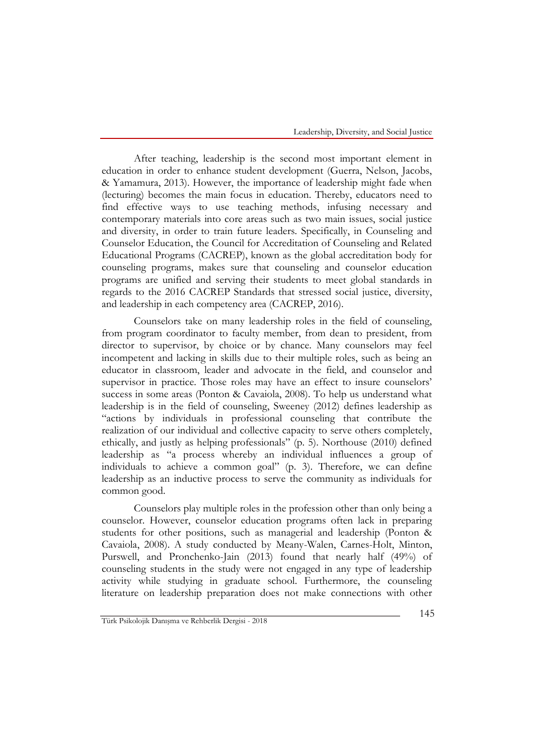After teaching, leadership is the second most important element in education in order to enhance student development (Guerra, Nelson, Jacobs, & Yamamura, 2013). However, the importance of leadership might fade when (lecturing) becomes the main focus in education. Thereby, educators need to find effective ways to use teaching methods, infusing necessary and contemporary materials into core areas such as two main issues, social justice and diversity, in order to train future leaders. Specifically, in Counseling and Counselor Education, the Council for Accreditation of Counseling and Related Educational Programs (CACREP), known as the global accreditation body for counseling programs, makes sure that counseling and counselor education programs are unified and serving their students to meet global standards in regards to the 2016 CACREP Standards that stressed social justice, diversity, and leadership in each competency area (CACREP, 2016).

Counselors take on many leadership roles in the field of counseling, from program coordinator to faculty member, from dean to president, from director to supervisor, by choice or by chance. Many counselors may feel incompetent and lacking in skills due to their multiple roles, such as being an educator in classroom, leader and advocate in the field, and counselor and supervisor in practice. Those roles may have an effect to insure counselors' success in some areas (Ponton & Cavaiola, 2008). To help us understand what leadership is in the field of counseling, Sweeney (2012) defines leadership as "actions by individuals in professional counseling that contribute the realization of our individual and collective capacity to serve others completely, ethically, and justly as helping professionals" (p. 5). Northouse (2010) defined leadership as "a process whereby an individual influences a group of individuals to achieve a common goal" (p. 3). Therefore, we can define leadership as an inductive process to serve the community as individuals for common good.

Counselors play multiple roles in the profession other than only being a counselor. However, counselor education programs often lack in preparing students for other positions, such as managerial and leadership (Ponton & Cavaiola, 2008). A study conducted by Meany-Walen, Carnes-Holt, Minton, Purswell, and Pronchenko-Jain (2013) found that nearly half (49%) of counseling students in the study were not engaged in any type of leadership activity while studying in graduate school. Furthermore, the counseling literature on leadership preparation does not make connections with other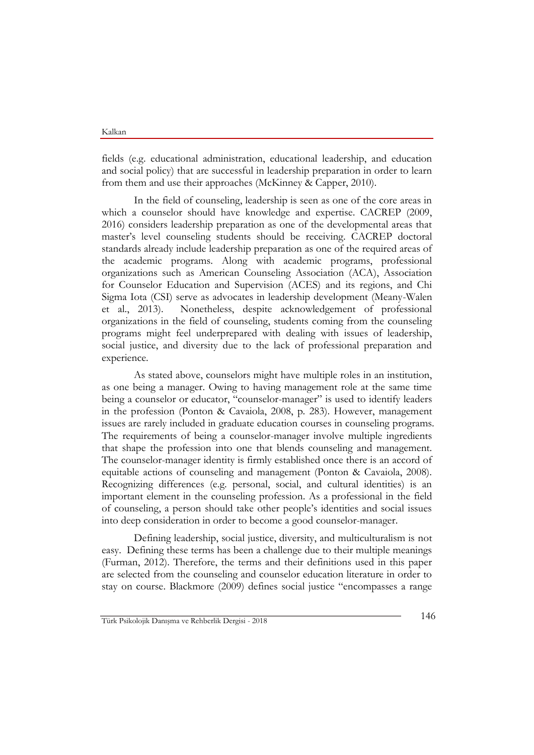fields (e.g. educational administration, educational leadership, and education and social policy) that are successful in leadership preparation in order to learn from them and use their approaches (McKinney & Capper, 2010).

In the field of counseling, leadership is seen as one of the core areas in which a counselor should have knowledge and expertise. CACREP (2009, 2016) considers leadership preparation as one of the developmental areas that master's level counseling students should be receiving. CACREP doctoral standards already include leadership preparation as one of the required areas of the academic programs. Along with academic programs, professional organizations such as American Counseling Association (ACA), Association for Counselor Education and Supervision (ACES) and its regions, and Chi Sigma Iota (CSI) serve as advocates in leadership development (Meany-Walen et al., 2013). Nonetheless, despite acknowledgement of professional organizations in the field of counseling, students coming from the counseling programs might feel underprepared with dealing with issues of leadership, social justice, and diversity due to the lack of professional preparation and experience.

As stated above, counselors might have multiple roles in an institution, as one being a manager. Owing to having management role at the same time being a counselor or educator, "counselor-manager" is used to identify leaders in the profession (Ponton & Cavaiola, 2008, p. 283). However, management issues are rarely included in graduate education courses in counseling programs. The requirements of being a counselor-manager involve multiple ingredients that shape the profession into one that blends counseling and management. The counselor-manager identity is firmly established once there is an accord of equitable actions of counseling and management (Ponton & Cavaiola, 2008). Recognizing differences (e.g. personal, social, and cultural identities) is an important element in the counseling profession. As a professional in the field of counseling, a person should take other people's identities and social issues into deep consideration in order to become a good counselor-manager.

Defining leadership, social justice, diversity, and multiculturalism is not easy. Defining these terms has been a challenge due to their multiple meanings (Furman, 2012). Therefore, the terms and their definitions used in this paper are selected from the counseling and counselor education literature in order to stay on course. Blackmore (2009) defines social justice "encompasses a range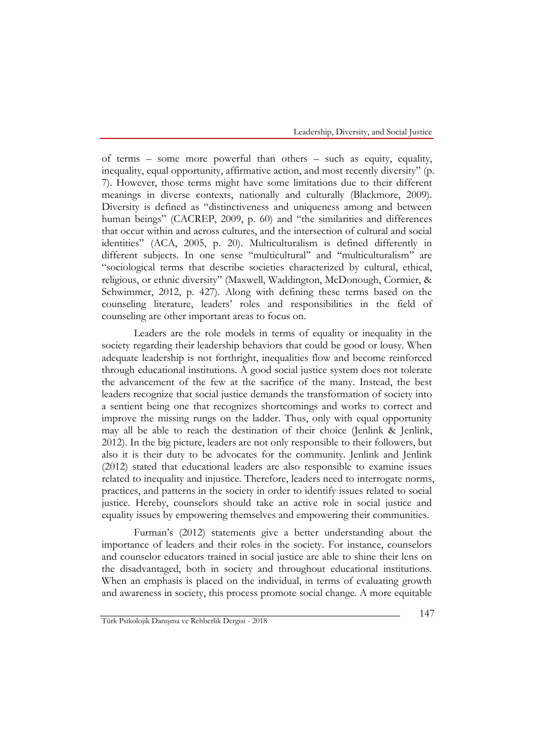of terms – some more powerful than others – such as equity, equality, inequality, equal opportunity, affirmative action, and most recently diversity" (p. 7). However, those terms might have some limitations due to their different meanings in diverse contexts, nationally and culturally (Blackmore, 2009). Diversity is defined as "distinctiveness and uniqueness among and between human beings" (CACREP, 2009, p. 60) and "the similarities and differences that occur within and across cultures, and the intersection of cultural and social identities" (ACA, 2005, p. 20). Multiculturalism is defined differently in different subjects. In one sense ''multicultural'' and ''multiculturalism'' are "sociological terms that describe societies characterized by cultural, ethical, religious, or ethnic diversity" (Maxwell, Waddington, McDonough, Cormier, & Schwimmer, 2012, p. 427). Along with defining these terms based on the counseling literature, leaders' roles and responsibilities in the field of counseling are other important areas to focus on.

Leaders are the role models in terms of equality or inequality in the society regarding their leadership behaviors that could be good or lousy. When adequate leadership is not forthright, inequalities flow and become reinforced through educational institutions. A good social justice system does not tolerate the advancement of the few at the sacrifice of the many. Instead, the best leaders recognize that social justice demands the transformation of society into a sentient being one that recognizes shortcomings and works to correct and improve the missing rungs on the ladder. Thus, only with equal opportunity may all be able to reach the destination of their choice (Jenlink & Jenlink, 2012). In the big picture, leaders are not only responsible to their followers, but also it is their duty to be advocates for the community. Jenlink and Jenlink (2012) stated that educational leaders are also responsible to examine issues related to inequality and injustice. Therefore, leaders need to interrogate norms, practices, and patterns in the society in order to identify issues related to social justice. Hereby, counselors should take an active role in social justice and equality issues by empowering themselves and empowering their communities.

Furman's (2012) statements give a better understanding about the importance of leaders and their roles in the society. For instance, counselors and counselor educators trained in social justice are able to shine their lens on the disadvantaged, both in society and throughout educational institutions. When an emphasis is placed on the individual, in terms of evaluating growth and awareness in society, this process promote social change. A more equitable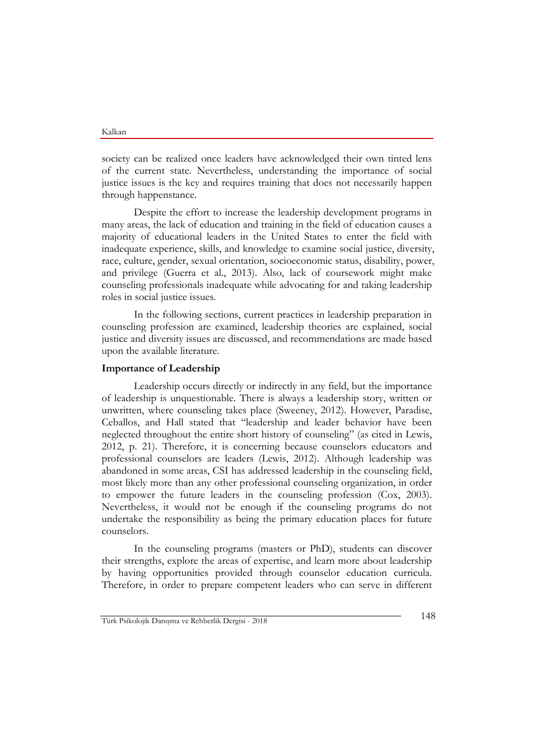society can be realized once leaders have acknowledged their own tinted lens of the current state. Nevertheless, understanding the importance of social justice issues is the key and requires training that does not necessarily happen through happenstance.

Despite the effort to increase the leadership development programs in many areas, the lack of education and training in the field of education causes a majority of educational leaders in the United States to enter the field with inadequate experience, skills, and knowledge to examine social justice, diversity, race, culture, gender, sexual orientation, socioeconomic status, disability, power, and privilege (Guerra et al., 2013). Also, lack of coursework might make counseling professionals inadequate while advocating for and taking leadership roles in social justice issues.

In the following sections, current practices in leadership preparation in counseling profession are examined, leadership theories are explained, social justice and diversity issues are discussed, and recommendations are made based upon the available literature.

#### **Importance of Leadership**

Leadership occurs directly or indirectly in any field, but the importance of leadership is unquestionable. There is always a leadership story, written or unwritten, where counseling takes place (Sweeney, 2012). However, Paradise, Ceballos, and Hall stated that "leadership and leader behavior have been neglected throughout the entire short history of counseling" (as cited in Lewis, 2012, p. 21). Therefore, it is concerning because counselors educators and professional counselors are leaders (Lewis, 2012). Although leadership was abandoned in some areas, CSI has addressed leadership in the counseling field, most likely more than any other professional counseling organization, in order to empower the future leaders in the counseling profession (Cox, 2003). Nevertheless, it would not be enough if the counseling programs do not undertake the responsibility as being the primary education places for future counselors.

In the counseling programs (masters or PhD), students can discover their strengths, explore the areas of expertise, and learn more about leadership by having opportunities provided through counselor education curricula. Therefore, in order to prepare competent leaders who can serve in different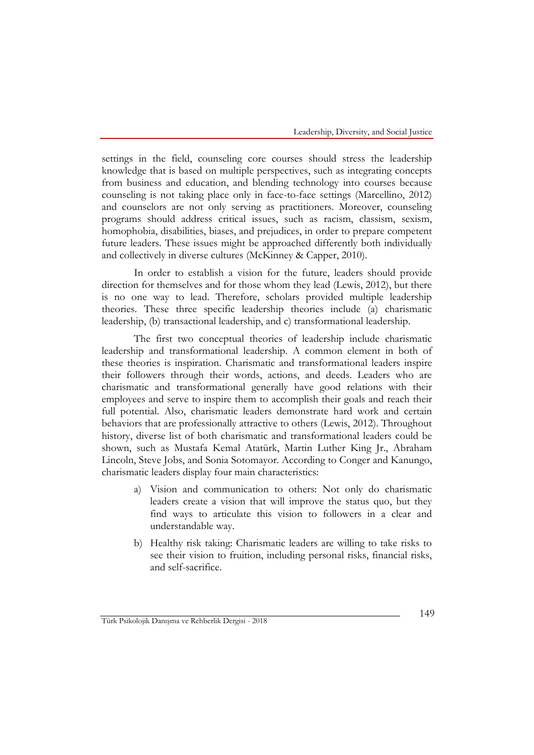settings in the field, counseling core courses should stress the leadership knowledge that is based on multiple perspectives, such as integrating concepts from business and education, and blending technology into courses because counseling is not taking place only in face-to-face settings (Marcellino, 2012) and counselors are not only serving as practitioners. Moreover, counseling programs should address critical issues, such as racism, classism, sexism, homophobia, disabilities, biases, and prejudices, in order to prepare competent future leaders. These issues might be approached differently both individually and collectively in diverse cultures (McKinney & Capper, 2010).

In order to establish a vision for the future, leaders should provide direction for themselves and for those whom they lead (Lewis, 2012), but there is no one way to lead. Therefore, scholars provided multiple leadership theories. These three specific leadership theories include (a) charismatic leadership, (b) transactional leadership, and c) transformational leadership.

The first two conceptual theories of leadership include charismatic leadership and transformational leadership. A common element in both of these theories is inspiration. Charismatic and transformational leaders inspire their followers through their words, actions, and deeds. Leaders who are charismatic and transformational generally have good relations with their employees and serve to inspire them to accomplish their goals and reach their full potential. Also, charismatic leaders demonstrate hard work and certain behaviors that are professionally attractive to others (Lewis, 2012). Throughout history, diverse list of both charismatic and transformational leaders could be shown, such as Mustafa Kemal Atatürk, Martin Luther King Jr., Abraham Lincoln, Steve Jobs, and Sonia Sotomayor. According to Conger and Kanungo, charismatic leaders display four main characteristics:

- a) Vision and communication to others: Not only do charismatic leaders create a vision that will improve the status quo, but they find ways to articulate this vision to followers in a clear and understandable way.
- b) Healthy risk taking: Charismatic leaders are willing to take risks to see their vision to fruition, including personal risks, financial risks, and self-sacrifice.

Türk Psikolojik Danışma ve Rehberlik Dergisi - 2018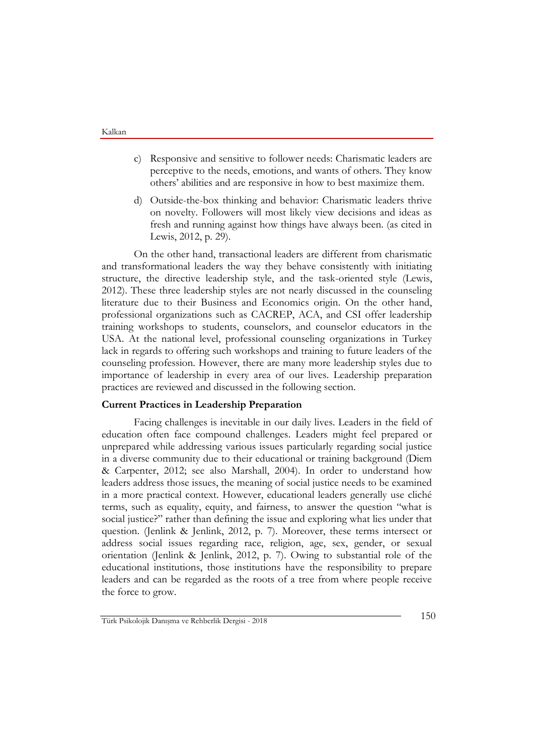- c) Responsive and sensitive to follower needs: Charismatic leaders are perceptive to the needs, emotions, and wants of others. They know others' abilities and are responsive in how to best maximize them.
- d) Outside-the-box thinking and behavior: Charismatic leaders thrive on novelty. Followers will most likely view decisions and ideas as fresh and running against how things have always been. (as cited in Lewis, 2012, p. 29).

On the other hand, transactional leaders are different from charismatic and transformational leaders the way they behave consistently with initiating structure, the directive leadership style, and the task-oriented style (Lewis, 2012). These three leadership styles are not nearly discussed in the counseling literature due to their Business and Economics origin. On the other hand, professional organizations such as CACREP, ACA, and CSI offer leadership training workshops to students, counselors, and counselor educators in the USA. At the national level, professional counseling organizations in Turkey lack in regards to offering such workshops and training to future leaders of the counseling profession. However, there are many more leadership styles due to importance of leadership in every area of our lives. Leadership preparation practices are reviewed and discussed in the following section.

#### **Current Practices in Leadership Preparation**

Facing challenges is inevitable in our daily lives. Leaders in the field of education often face compound challenges. Leaders might feel prepared or unprepared while addressing various issues particularly regarding social justice in a diverse community due to their educational or training background (Diem & Carpenter, 2012; see also Marshall, 2004). In order to understand how leaders address those issues, the meaning of social justice needs to be examined in a more practical context. However, educational leaders generally use cliché terms, such as equality, equity, and fairness, to answer the question "what is social justice?" rather than defining the issue and exploring what lies under that question. (Jenlink & Jenlink, 2012, p. 7). Moreover, these terms intersect or address social issues regarding race, religion, age, sex, gender, or sexual orientation (Jenlink & Jenlink, 2012, p. 7). Owing to substantial role of the educational institutions, those institutions have the responsibility to prepare leaders and can be regarded as the roots of a tree from where people receive the force to grow.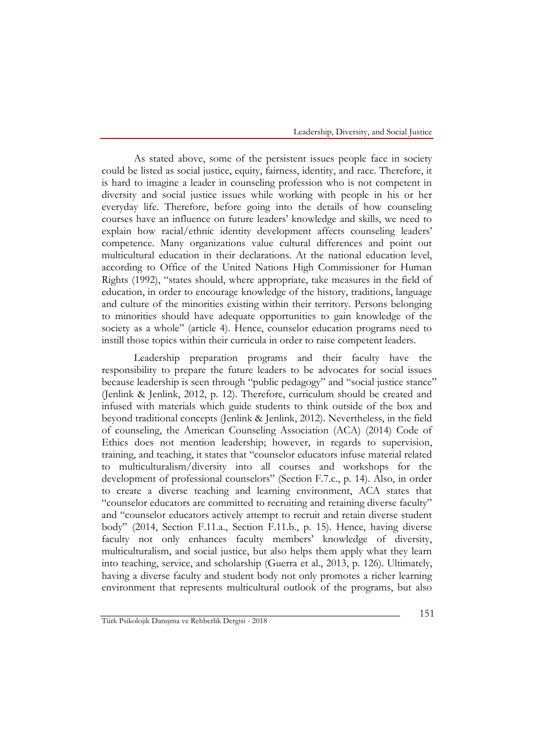Leadership, Diversity, and Social Justice

As stated above, some of the persistent issues people face in society could be listed as social justice, equity, fairness, identity, and race. Therefore, it is hard to imagine a leader in counseling profession who is not competent in diversity and social justice issues while working with people in his or her everyday life. Therefore, before going into the details of how counseling courses have an influence on future leaders' knowledge and skills, we need to explain how racial/ethnic identity development affects counseling leaders' competence. Many organizations value cultural differences and point out multicultural education in their declarations. At the national education level, according to Office of the United Nations High Commissioner for Human Rights (1992), "states should, where appropriate, take measures in the field of education, in order to encourage knowledge of the history, traditions, language and culture of the minorities existing within their territory. Persons belonging to minorities should have adequate opportunities to gain knowledge of the society as a whole" (article 4). Hence, counselor education programs need to instill those topics within their curricula in order to raise competent leaders.

Leadership preparation programs and their faculty have the responsibility to prepare the future leaders to be advocates for social issues because leadership is seen through "public pedagogy" and "social justice stance" (Jenlink & Jenlink, 2012, p. 12). Therefore, curriculum should be created and infused with materials which guide students to think outside of the box and beyond traditional concepts (Jenlink & Jenlink, 2012). Nevertheless, in the field of counseling, the American Counseling Association (ACA) (2014) Code of Ethics does not mention leadership; however, in regards to supervision, training, and teaching, it states that "counselor educators infuse material related to multiculturalism/diversity into all courses and workshops for the development of professional counselors" (Section F.7.c., p. 14). Also, in order to create a diverse teaching and learning environment, ACA states that "counselor educators are committed to recruiting and retaining diverse faculty" and "counselor educators actively attempt to recruit and retain diverse student body" (2014, Section F.11.a., Section F.11.b., p. 15). Hence, having diverse faculty not only enhances faculty members' knowledge of diversity, multiculturalism, and social justice, but also helps them apply what they learn into teaching, service, and scholarship (Guerra et al., 2013, p. 126). Ultimately, having a diverse faculty and student body not only promotes a richer learning environment that represents multicultural outlook of the programs, but also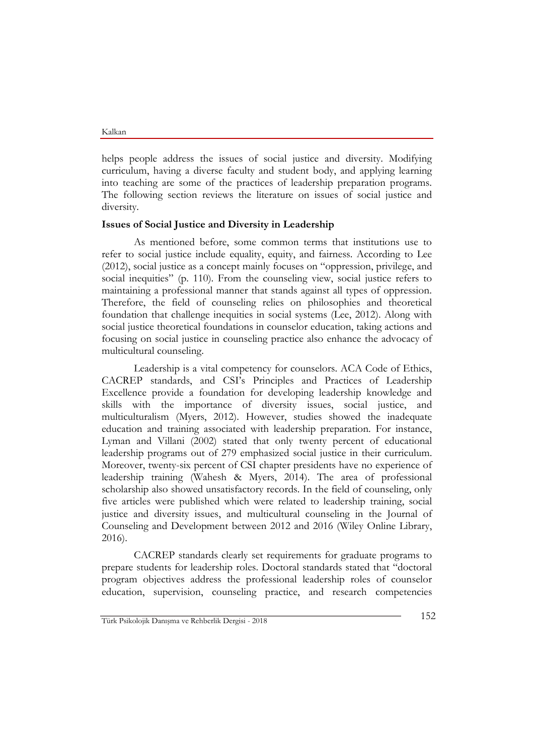helps people address the issues of social justice and diversity. Modifying curriculum, having a diverse faculty and student body, and applying learning into teaching are some of the practices of leadership preparation programs. The following section reviews the literature on issues of social justice and diversity.

#### **Issues of Social Justice and Diversity in Leadership**

As mentioned before, some common terms that institutions use to refer to social justice include equality, equity, and fairness. According to Lee (2012), social justice as a concept mainly focuses on "oppression, privilege, and social inequities" (p. 110). From the counseling view, social justice refers to maintaining a professional manner that stands against all types of oppression. Therefore, the field of counseling relies on philosophies and theoretical foundation that challenge inequities in social systems (Lee, 2012). Along with social justice theoretical foundations in counselor education, taking actions and focusing on social justice in counseling practice also enhance the advocacy of multicultural counseling.

Leadership is a vital competency for counselors. ACA Code of Ethics, CACREP standards, and CSI's Principles and Practices of Leadership Excellence provide a foundation for developing leadership knowledge and skills with the importance of diversity issues, social justice, and multiculturalism (Myers, 2012). However, studies showed the inadequate education and training associated with leadership preparation. For instance, Lyman and Villani (2002) stated that only twenty percent of educational leadership programs out of 279 emphasized social justice in their curriculum. Moreover, twenty-six percent of CSI chapter presidents have no experience of leadership training (Wahesh & Myers, 2014). The area of professional scholarship also showed unsatisfactory records. In the field of counseling, only five articles were published which were related to leadership training, social justice and diversity issues, and multicultural counseling in the Journal of Counseling and Development between 2012 and 2016 (Wiley Online Library, 2016).

CACREP standards clearly set requirements for graduate programs to prepare students for leadership roles. Doctoral standards stated that "doctoral program objectives address the professional leadership roles of counselor education, supervision, counseling practice, and research competencies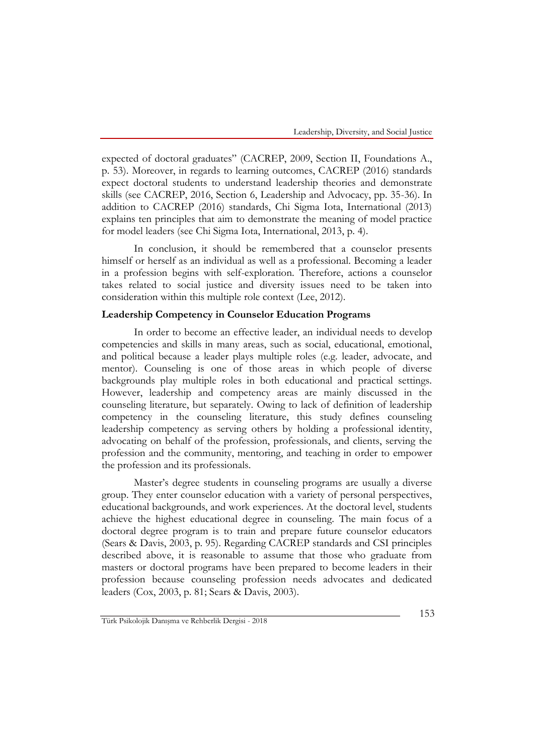expected of doctoral graduates" (CACREP, 2009, Section II, Foundations A., p. 53). Moreover, in regards to learning outcomes, CACREP (2016) standards expect doctoral students to understand leadership theories and demonstrate skills (see CACREP, 2016, Section 6, Leadership and Advocacy, pp. 35-36). In addition to CACREP (2016) standards, Chi Sigma Iota, International (2013) explains ten principles that aim to demonstrate the meaning of model practice for model leaders (see Chi Sigma Iota, International, 2013, p. 4).

In conclusion, it should be remembered that a counselor presents himself or herself as an individual as well as a professional. Becoming a leader in a profession begins with self-exploration. Therefore, actions a counselor takes related to social justice and diversity issues need to be taken into consideration within this multiple role context (Lee, 2012).

#### **Leadership Competency in Counselor Education Programs**

In order to become an effective leader, an individual needs to develop competencies and skills in many areas, such as social, educational, emotional, and political because a leader plays multiple roles (e.g. leader, advocate, and mentor). Counseling is one of those areas in which people of diverse backgrounds play multiple roles in both educational and practical settings. However, leadership and competency areas are mainly discussed in the counseling literature, but separately. Owing to lack of definition of leadership competency in the counseling literature, this study defines counseling leadership competency as serving others by holding a professional identity, advocating on behalf of the profession, professionals, and clients, serving the profession and the community, mentoring, and teaching in order to empower the profession and its professionals.

Master's degree students in counseling programs are usually a diverse group. They enter counselor education with a variety of personal perspectives, educational backgrounds, and work experiences. At the doctoral level, students achieve the highest educational degree in counseling. The main focus of a doctoral degree program is to train and prepare future counselor educators (Sears & Davis, 2003, p. 95). Regarding CACREP standards and CSI principles described above, it is reasonable to assume that those who graduate from masters or doctoral programs have been prepared to become leaders in their profession because counseling profession needs advocates and dedicated leaders (Cox, 2003, p. 81; Sears & Davis, 2003).

Türk Psikolojik Danışma ve Rehberlik Dergisi - 2018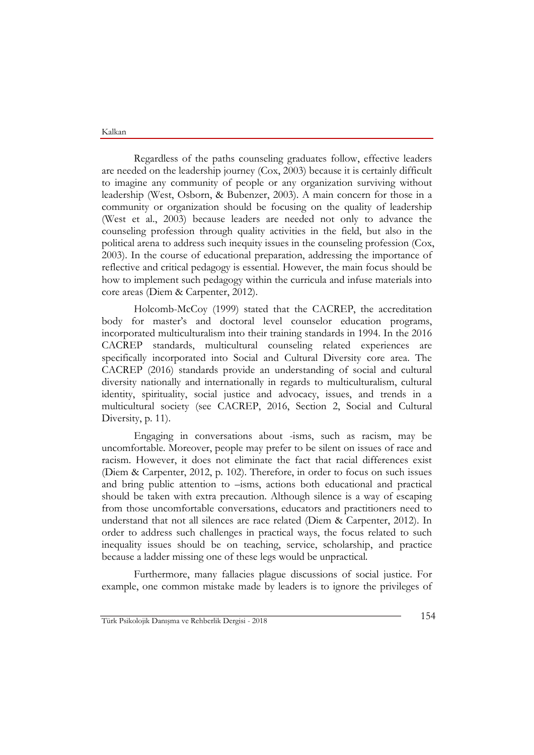Regardless of the paths counseling graduates follow, effective leaders are needed on the leadership journey (Cox, 2003) because it is certainly difficult to imagine any community of people or any organization surviving without leadership (West, Osborn, & Bubenzer, 2003). A main concern for those in a community or organization should be focusing on the quality of leadership (West et al., 2003) because leaders are needed not only to advance the counseling profession through quality activities in the field, but also in the political arena to address such inequity issues in the counseling profession (Cox, 2003). In the course of educational preparation, addressing the importance of reflective and critical pedagogy is essential. However, the main focus should be how to implement such pedagogy within the curricula and infuse materials into core areas (Diem & Carpenter, 2012).

Holcomb-McCoy (1999) stated that the CACREP, the accreditation body for master's and doctoral level counselor education programs, incorporated multiculturalism into their training standards in 1994. In the 2016 CACREP standards, multicultural counseling related experiences are specifically incorporated into Social and Cultural Diversity core area. The CACREP (2016) standards provide an understanding of social and cultural diversity nationally and internationally in regards to multiculturalism, cultural identity, spirituality, social justice and advocacy, issues, and trends in a multicultural society (see CACREP, 2016, Section 2, Social and Cultural Diversity, p. 11).

Engaging in conversations about -isms, such as racism, may be uncomfortable. Moreover, people may prefer to be silent on issues of race and racism. However, it does not eliminate the fact that racial differences exist (Diem & Carpenter, 2012, p. 102). Therefore, in order to focus on such issues and bring public attention to –isms, actions both educational and practical should be taken with extra precaution. Although silence is a way of escaping from those uncomfortable conversations, educators and practitioners need to understand that not all silences are race related (Diem & Carpenter, 2012). In order to address such challenges in practical ways, the focus related to such inequality issues should be on teaching, service, scholarship, and practice because a ladder missing one of these legs would be unpractical.

Furthermore, many fallacies plague discussions of social justice. For example, one common mistake made by leaders is to ignore the privileges of

Türk Psikolojik Danışma ve Rehberlik Dergisi - <sup>2018</sup> 154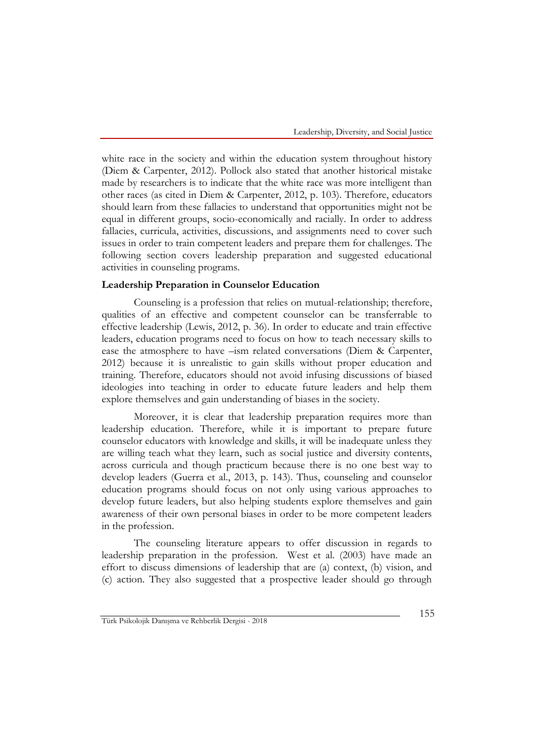white race in the society and within the education system throughout history (Diem & Carpenter, 2012). Pollock also stated that another historical mistake made by researchers is to indicate that the white race was more intelligent than other races (as cited in Diem & Carpenter, 2012, p. 103). Therefore, educators should learn from these fallacies to understand that opportunities might not be equal in different groups, socio-economically and racially. In order to address fallacies, curricula, activities, discussions, and assignments need to cover such issues in order to train competent leaders and prepare them for challenges. The following section covers leadership preparation and suggested educational activities in counseling programs.

#### **Leadership Preparation in Counselor Education**

Counseling is a profession that relies on mutual-relationship; therefore, qualities of an effective and competent counselor can be transferrable to effective leadership (Lewis, 2012, p. 36). In order to educate and train effective leaders, education programs need to focus on how to teach necessary skills to ease the atmosphere to have –ism related conversations (Diem & Carpenter, 2012) because it is unrealistic to gain skills without proper education and training. Therefore, educators should not avoid infusing discussions of biased ideologies into teaching in order to educate future leaders and help them explore themselves and gain understanding of biases in the society.

Moreover, it is clear that leadership preparation requires more than leadership education. Therefore, while it is important to prepare future counselor educators with knowledge and skills, it will be inadequate unless they are willing teach what they learn, such as social justice and diversity contents, across curricula and though practicum because there is no one best way to develop leaders (Guerra et al., 2013, p. 143). Thus, counseling and counselor education programs should focus on not only using various approaches to develop future leaders, but also helping students explore themselves and gain awareness of their own personal biases in order to be more competent leaders in the profession.

The counseling literature appears to offer discussion in regards to leadership preparation in the profession. West et al. (2003) have made an effort to discuss dimensions of leadership that are (a) context, (b) vision, and (c) action. They also suggested that a prospective leader should go through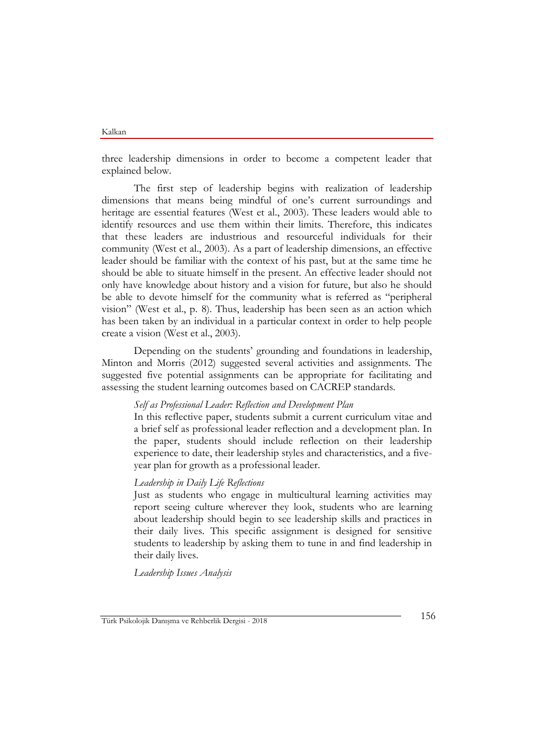three leadership dimensions in order to become a competent leader that explained below.

The first step of leadership begins with realization of leadership dimensions that means being mindful of one's current surroundings and heritage are essential features (West et al., 2003). These leaders would able to identify resources and use them within their limits. Therefore, this indicates that these leaders are industrious and resourceful individuals for their community (West et al., 2003). As a part of leadership dimensions, an effective leader should be familiar with the context of his past, but at the same time he should be able to situate himself in the present. An effective leader should not only have knowledge about history and a vision for future, but also he should be able to devote himself for the community what is referred as "peripheral vision" (West et al., p. 8). Thus, leadership has been seen as an action which has been taken by an individual in a particular context in order to help people create a vision (West et al., 2003).

Depending on the students' grounding and foundations in leadership, Minton and Morris (2012) suggested several activities and assignments. The suggested five potential assignments can be appropriate for facilitating and assessing the student learning outcomes based on CACREP standards.

#### *Self as Professional Leader: Reflection and Development Plan*

In this reflective paper, students submit a current curriculum vitae and a brief self as professional leader reflection and a development plan. In the paper, students should include reflection on their leadership experience to date, their leadership styles and characteristics, and a fiveyear plan for growth as a professional leader.

#### *Leadership in Daily Life Reflections*

Just as students who engage in multicultural learning activities may report seeing culture wherever they look, students who are learning about leadership should begin to see leadership skills and practices in their daily lives. This specific assignment is designed for sensitive students to leadership by asking them to tune in and find leadership in their daily lives.

*Leadership Issues Analysis*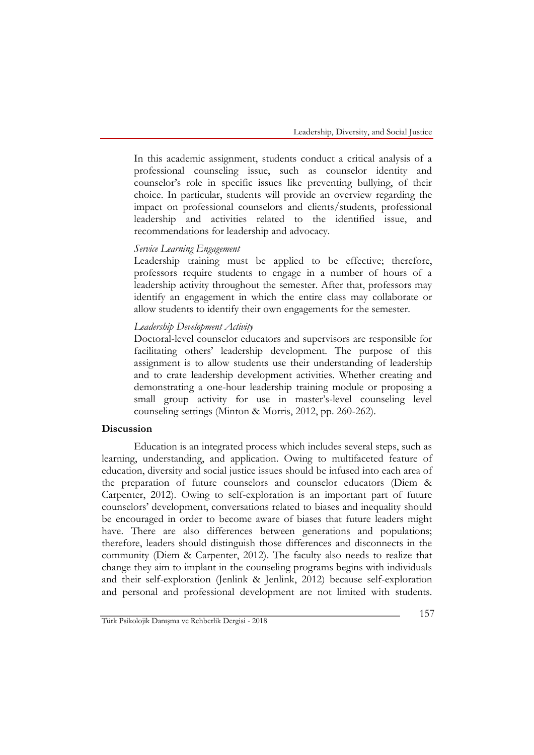In this academic assignment, students conduct a critical analysis of a professional counseling issue, such as counselor identity and counselor's role in specific issues like preventing bullying, of their choice. In particular, students will provide an overview regarding the impact on professional counselors and clients/students, professional leadership and activities related to the identified issue, and recommendations for leadership and advocacy.

#### *Service Learning Engagement*

Leadership training must be applied to be effective; therefore, professors require students to engage in a number of hours of a leadership activity throughout the semester. After that, professors may identify an engagement in which the entire class may collaborate or allow students to identify their own engagements for the semester.

#### *Leadership Development Activity*

Doctoral-level counselor educators and supervisors are responsible for facilitating others' leadership development. The purpose of this assignment is to allow students use their understanding of leadership and to crate leadership development activities. Whether creating and demonstrating a one-hour leadership training module or proposing a small group activity for use in master's-level counseling level counseling settings (Minton & Morris, 2012, pp. 260-262).

#### **Discussion**

Education is an integrated process which includes several steps, such as learning, understanding, and application. Owing to multifaceted feature of education, diversity and social justice issues should be infused into each area of the preparation of future counselors and counselor educators (Diem & Carpenter, 2012). Owing to self-exploration is an important part of future counselors' development, conversations related to biases and inequality should be encouraged in order to become aware of biases that future leaders might have. There are also differences between generations and populations; therefore, leaders should distinguish those differences and disconnects in the community (Diem & Carpenter, 2012). The faculty also needs to realize that change they aim to implant in the counseling programs begins with individuals and their self-exploration (Jenlink & Jenlink, 2012) because self-exploration and personal and professional development are not limited with students.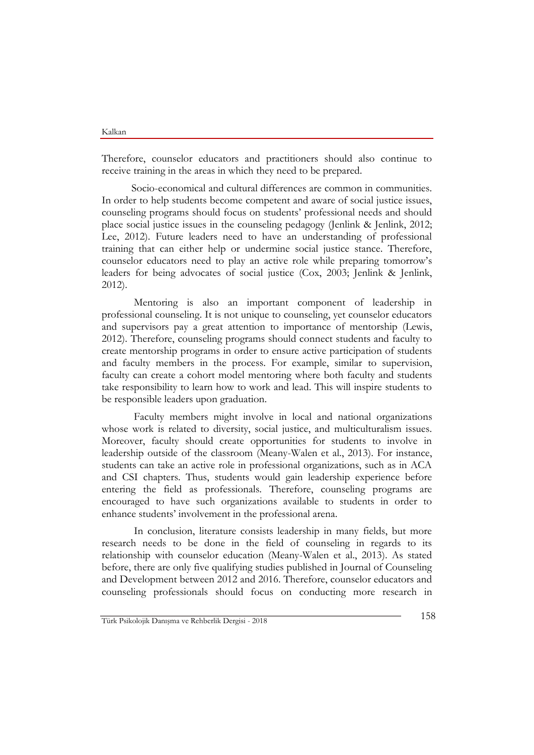Therefore, counselor educators and practitioners should also continue to receive training in the areas in which they need to be prepared.

Socio-economical and cultural differences are common in communities. In order to help students become competent and aware of social justice issues, counseling programs should focus on students' professional needs and should place social justice issues in the counseling pedagogy (Jenlink & Jenlink, 2012; Lee, 2012). Future leaders need to have an understanding of professional training that can either help or undermine social justice stance. Therefore, counselor educators need to play an active role while preparing tomorrow's leaders for being advocates of social justice (Cox, 2003; Jenlink & Jenlink, 2012).

Mentoring is also an important component of leadership in professional counseling. It is not unique to counseling, yet counselor educators and supervisors pay a great attention to importance of mentorship (Lewis, 2012). Therefore, counseling programs should connect students and faculty to create mentorship programs in order to ensure active participation of students and faculty members in the process. For example, similar to supervision, faculty can create a cohort model mentoring where both faculty and students take responsibility to learn how to work and lead. This will inspire students to be responsible leaders upon graduation.

Faculty members might involve in local and national organizations whose work is related to diversity, social justice, and multiculturalism issues. Moreover, faculty should create opportunities for students to involve in leadership outside of the classroom (Meany-Walen et al., 2013). For instance, students can take an active role in professional organizations, such as in ACA and CSI chapters. Thus, students would gain leadership experience before entering the field as professionals. Therefore, counseling programs are encouraged to have such organizations available to students in order to enhance students' involvement in the professional arena.

In conclusion, literature consists leadership in many fields, but more research needs to be done in the field of counseling in regards to its relationship with counselor education (Meany-Walen et al., 2013). As stated before, there are only five qualifying studies published in Journal of Counseling and Development between 2012 and 2016. Therefore, counselor educators and counseling professionals should focus on conducting more research in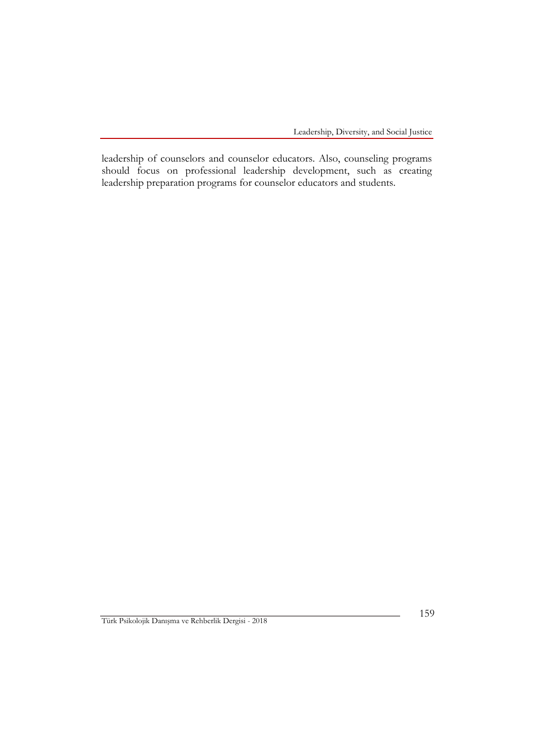leadership of counselors and counselor educators. Also, counseling programs should focus on professional leadership development, such as creating leadership preparation programs for counselor educators and students.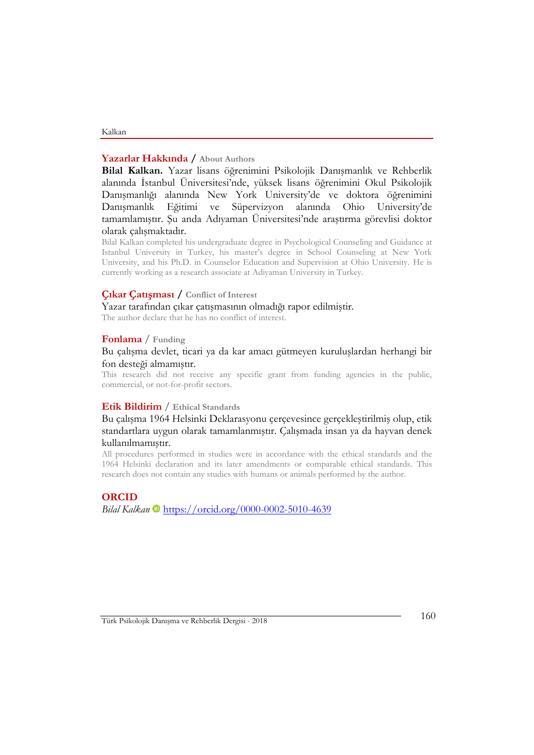# **Yazarlar Hakkında / About Authors**

Kalkan

### **Bilal Kalkan.** Yazar lisans öğrenimini Psikolojik Danışmanlık ve Rehberlik alanında İstanbul Üniversitesi'nde, yüksek lisans öğrenimini Okul Psikolojik Danışmanlığı alanında New York University'de ve doktora öğrenimini Danışmanlık Eğitimi ve Süpervizyon alanında Ohio University'de tamamlamıştır. Şu anda Adıyaman Üniversitesi'nde araştırma görevlisi doktor olarak çalışmaktadır.

Bilal Kalkan completed his undergraduate degree in Psychological Counseling and Guidance at Istanbul University in Turkey, his master's degree in School Counseling at New York University, and his Ph.D. in Counselor Education and Supervision at Ohio University. He is currently working as a research associate at Adiyaman University in Turkey.

#### **Çıkar Çatışması / Conflict of Interest**

Yazar tarafından çıkar çatışmasının olmadığı rapor edilmiştir.

The author declare that he has no conflict of interest.

#### **Fonlama** / **Funding**

Bu çalışma devlet, ticari ya da kar amacı gütmeyen kuruluşlardan herhangi bir fon desteği almamıştır.

This research did not receive any specific grant from funding agencies in the public, commercial, or not-for-profit sectors.

#### **Etik Bildirim** / **Ethical Standards**

Bu çalışma 1964 Helsinki Deklarasyonu çerçevesince gerçekleştirilmiş olup, etik standartlara uygun olarak tamamlanmıştır. Çalışmada insan ya da hayvan denek kullanılmamıştır.

All procedures performed in studies were in accordance with the ethical standards and the 1964 Helsinki declaration and its later amendments or comparable ethical standards. This research does not contain any studies with humans or animals performed by the author.

#### **ORCID**

*Bilal Kalkan* <https://orcid.org/0000-0002-5010-4639>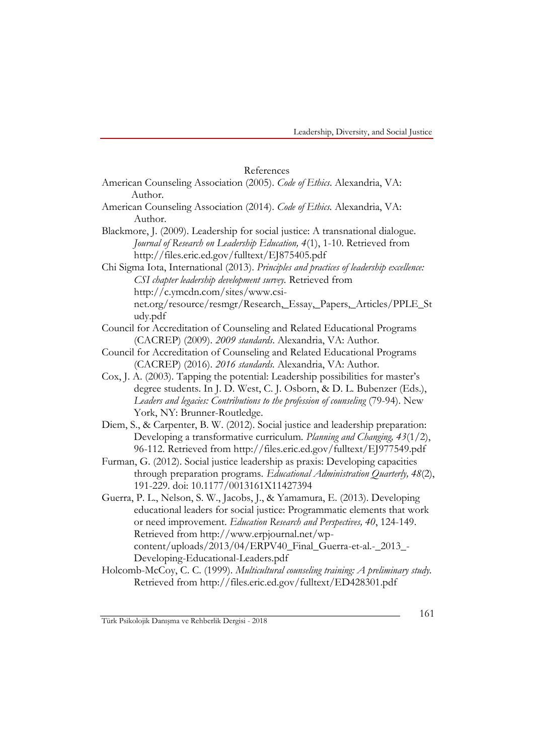#### References

- American Counseling Association (2005). *Code of Ethics*. Alexandria, VA: Author.
- American Counseling Association (2014). *Code of Ethics.* Alexandria, VA: Author.
- Blackmore, J. (2009). Leadership for social justice: A transnational dialogue. *Journal of Research on Leadership Education, 4*(1), 1-10. Retrieved from http://files.eric.ed.gov/fulltext/EJ875405.pdf
- Chi Sigma Iota, International (2013). *Principles and practices of leadership excellence: CSI chapter leadership development survey.* Retrieved from http://c.ymcdn.com/sites/www.csinet.org/resource/resmgr/Research,\_Essay,\_Papers,\_Articles/PPLE\_St udy.pdf
- Council for Accreditation of Counseling and Related Educational Programs (CACREP) (2009). *2009 standards*. Alexandria, VA: Author.
- Council for Accreditation of Counseling and Related Educational Programs (CACREP) (2016). *2016 standards.* Alexandria, VA: Author.
- Cox, J. A. (2003). Tapping the potential: Leadership possibilities for master's degree students. In J. D. West, C. J. Osborn, & D. L. Bubenzer (Eds.), *Leaders and legacies: Contributions to the profession of counseling* (79-94). New York, NY: Brunner-Routledge.
- Diem, S., & Carpenter, B. W. (2012). Social justice and leadership preparation: Developing a transformative curriculum. *Planning and Changing, 43*(1/2), 96-112. Retrieved from http://files.eric.ed.gov/fulltext/EJ977549.pdf
- Furman, G. (2012). Social justice leadership as praxis: Developing capacities through preparation programs. *Educational Administration Quarterly, 48*(2), 191-229. doi: 10.1177/0013161X11427394

Guerra, P. L., Nelson, S. W., Jacobs, J., & Yamamura, E. (2013). Developing educational leaders for social justice: Programmatic elements that work or need improvement. *Education Research and Perspectives, 40*, 124-149. Retrieved from http://www.erpjournal.net/wpcontent/uploads/2013/04/ERPV40\_Final\_Guerra-et-al.-\_2013\_-Developing-Educational-Leaders.pdf

Holcomb-McCoy, C. C. (1999). *Multicultural counseling training: A preliminary study.* Retrieved from http://files.eric.ed.gov/fulltext/ED428301.pdf

Türk Psikolojik Danışma ve Rehberlik Dergisi - 2018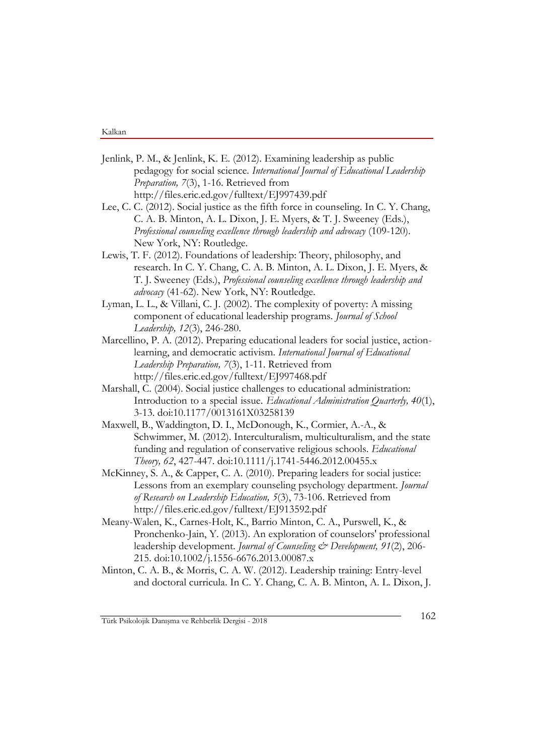- Jenlink, P. M., & Jenlink, K. E. (2012). Examining leadership as public pedagogy for social science. *International Journal of Educational Leadership Preparation, 7*(3), 1-16. Retrieved from http://files.eric.ed.gov/fulltext/EJ997439.pdf
- Lee, C. C. (2012). Social justice as the fifth force in counseling. In C. Y. Chang, C. A. B. Minton, A. L. Dixon, J. E. Myers, & T. J. Sweeney (Eds.), *Professional counseling excellence through leadership and advocacy* (109-120). New York, NY: Routledge.
- Lewis, T. F. (2012). Foundations of leadership: Theory, philosophy, and research. In C. Y. Chang, C. A. B. Minton, A. L. Dixon, J. E. Myers, & T. J. Sweeney (Eds.), *Professional counseling excellence through leadership and advocacy* (41-62). New York, NY: Routledge.
- Lyman, L. L., & Villani, C. J. (2002). The complexity of poverty: A missing component of educational leadership programs. *Journal of School Leadership, 12*(3), 246-280.
- Marcellino, P. A. (2012). Preparing educational leaders for social justice, actionlearning, and democratic activism*. International Journal of Educational Leadership Preparation, 7*(3), 1-11. Retrieved from http://files.eric.ed.gov/fulltext/EJ997468.pdf
- Marshall, C. (2004). Social justice challenges to educational administration: Introduction to a special issue. *Educational Administration Quarterly, 40*(1), 3-13. doi:10.1177/0013161X03258139
- Maxwell, B., Waddington, D. I., McDonough, K., Cormier, A.-A., & Schwimmer, M. (2012). Interculturalism, multiculturalism, and the state funding and regulation of conservative religious schools. *Educational Theory, 62*, 427-447. doi:10.1111/j.1741-5446.2012.00455.x
- McKinney, S. A., & Capper, C. A. (2010). Preparing leaders for social justice: Lessons from an exemplary counseling psychology department. *Journal of Research on Leadership Education, 5*(3), 73-106. Retrieved from http://files.eric.ed.gov/fulltext/EJ913592.pdf
- Meany-Walen, K., Carnes-Holt, K., Barrio Minton, C. A., Purswell, K., & Pronchenko-Jain, Y. (2013). An exploration of counselors' professional leadership development. *Journal of Counseling & Development, 91*(2), 206- 215. doi:10.1002/j.1556-6676.2013.00087.x
- Minton, C. A. B., & Morris, C. A. W. (2012). Leadership training: Entry-level and doctoral curricula. In C. Y. Chang, C. A. B. Minton, A. L. Dixon, J.

Türk Psikolojik Danışma ve Rehberlik Dergisi - <sup>2018</sup> 162